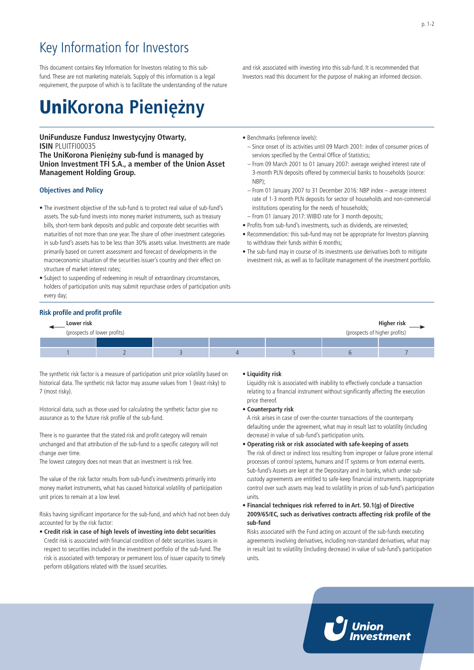# Key Information for Investors

This document contains Key Information for Investors relating to this subfund. These are not marketing materials. Supply of this information is a legal requirement, the purpose of which is to facilitate the understanding of the nature

# Uni**Korona Pieniężny**

### **UniFundusze Fundusz Inwestycyjny Otwarty, ISIN** PLUITFI00035

**The UniKorona Pieniężny sub-fund is managed by Union Investment TFI S.A., a member of the Union Asset Management Holding Group.**

### **Objectives and Policy**

- The investment objective of the sub-fund is to protect real value of sub-fund's assets. The sub-fund invests into money market instruments, such as treasury bills, short-term bank deposits and public and corporate debt securities with maturities of not more than one year. The share of other investment categories in sub-fund's assets has to be less than 30% assets value. Investments are made primarily based on current assessment and forecast of developments in the macroeconomic situation of the securities issuer's country and their effect on structure of market interest rates;
- Subject to suspending of redeeming in result of extraordinary circumstances, holders of participation units may submit repurchase orders of participation units every day;
- and risk associated with investing into this sub-fund. It is recommended that Investors read this document for the purpose of making an informed decision.
- Benchmarks (reference levels):
	- Since onset of its activities until 09 March 2001: index of consumer prices of services specified by the Central Office of Statistics;
	- From 09 March 2001 to 01 January 2007: average weighed interest rate of 3-month PLN deposits offered by commercial banks to households (source: N<sub>RP</sub>)
	- From 01 January 2007 to 31 December 2016: NBP index average interest rate of 1-3 month PLN deposits for sector of households and non-commercial institutions operating for the needs of households;
- From 01 January 2017: WIBID rate for 3 month deposits;
- Profits from sub-fund's investments, such as dividends, are reinvested;
- Recommendation: this sub-fund may not be appropriate for Investors planning to withdraw their funds within 6 months;
- The sub-fund may in course of its investments use derivatives both to mitigate investment risk, as well as to facilitate management of the investment portfolio.

#### **Risk profile and profit profile**

| Lower risk                                                    |  |  |  |  | Higher risk |  |
|---------------------------------------------------------------|--|--|--|--|-------------|--|
| (prospects of lower profits)<br>(prospects of higher profits) |  |  |  |  |             |  |
|                                                               |  |  |  |  |             |  |
|                                                               |  |  |  |  |             |  |

The synthetic risk factor is a measure of participation unit price volatility based on historical data. The synthetic risk factor may assume values from 1 (least risky) to 7 (most risky).

Historical data, such as those used for calculating the synthetic factor give no assurance as to the future risk profile of the sub-fund.

There is no guarantee that the stated risk and profit category will remain unchanged and that attribution of the sub-fund to a specific category will not change over time.

The lowest category does not mean that an investment is risk free.

The value of the risk factor results from sub-fund's investments primarily into money market instruments, what has caused historical volatility of participation unit prices to remain at a low level.

Risks having significant importance for the sub-fund, and which had not been duly accounted for by the risk factor:

• **Credit risk in case of high levels of investing into debt securities** Credit risk is associated with financial condition of debt securities issuers in respect to securities included in the investment portfolio of the sub-fund. The risk is associated with temporary or permanent loss of issuer capacity to timely perform obligations related with the issued securities.

### • **Liquidity risk**

Liquidity risk is associated with inability to effectively conclude a transaction relating to a financial instrument without significantly affecting the execution price thereof.

• **Counterparty risk**

A risk arises in case of over-the-counter transactions of the counterparty defaulting under the agreement, what may in result last to volatility (including decrease) in value of sub-fund's participation units.

- **Operating risk or risk associated with safe-keeping of assets** The risk of direct or indirect loss resulting from improper or failure prone internal processes of control systems, humans and IT systems or from external events. Sub-fund's Assets are kept at the Depositary and in banks, which under subcustody agreements are entitled to safe-keep financial instruments. Inappropriate control over such assets may lead to volatility in prices of sub-fund's participation units.
- **Financial techniques risk referred to in Art. 50.1(g) of Directive 2009/65/EC, such as derivatives contracts affecting risk profile of the sub-fund**

Risks associated with the Fund acting on account of the sub-funds executing agreements involving derivatives, including non-standard derivatives, what may in result last to volatility (including decrease) in value of sub-fund's participation units.